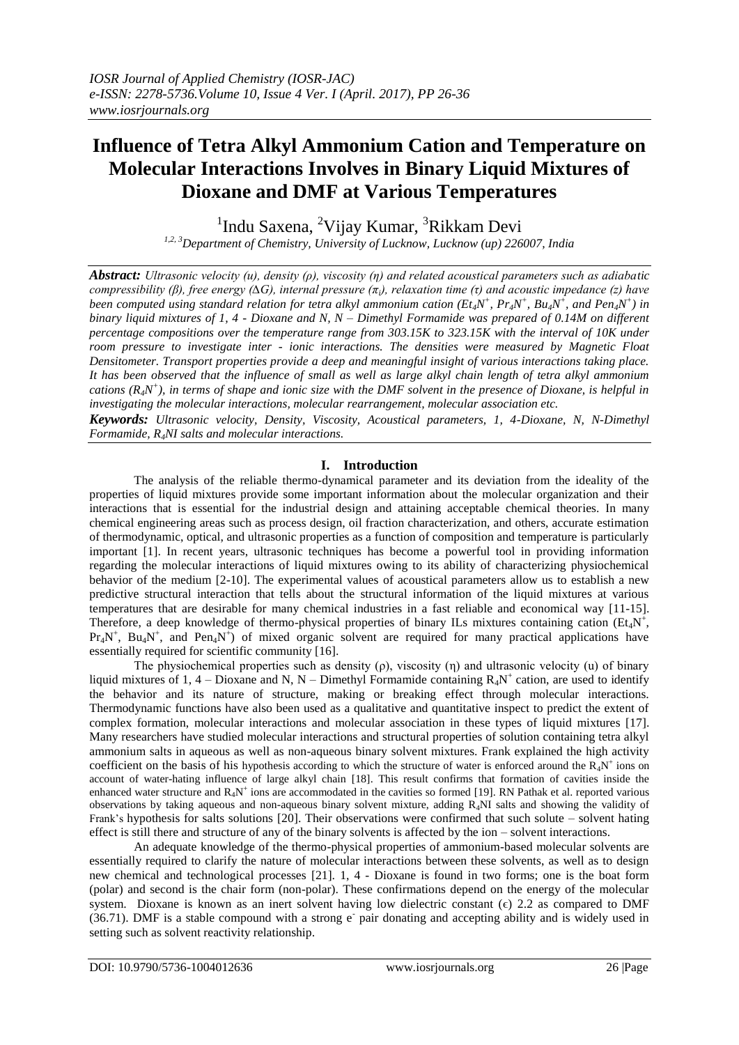# **Influence of Tetra Alkyl Ammonium Cation and Temperature on Molecular Interactions Involves in Binary Liquid Mixtures of Dioxane and DMF at Various Temperatures**

<sup>1</sup>Indu Saxena, <sup>2</sup>Vijay Kumar, <sup>3</sup>Rikkam Devi

*1,2, 3Department of Chemistry, University of Lucknow, Lucknow (up) 226007, India*

*Abstract: Ultrasonic velocity (u), density (ρ), viscosity (η) and related acoustical parameters such as adiabatic compressibility (β), free energy (∆G), internal pressure (πi), relaxation time (τ) and acoustic impedance (z) have*  been computed using standard relation for tetra alkyl ammonium cation (Et<sub>4</sub>N<sup>+</sup>, Pr<sub>4</sub>N<sup>+</sup>, Bu<sub>4</sub>N<sup>+</sup>, and Pen<sub>4</sub>N<sup>+</sup>) in *binary liquid mixtures of 1, 4 - Dioxane and N, N – Dimethyl Formamide was prepared of 0.14M on different percentage compositions over the temperature range from 303.15K to 323.15K with the interval of 10K under room pressure to investigate inter - ionic interactions. The densities were measured by Magnetic Float Densitometer. Transport properties provide a deep and meaningful insight of various interactions taking place. It has been observed that the influence of small as well as large alkyl chain length of tetra alkyl ammonium cations (R4N + ), in terms of shape and ionic size with the DMF solvent in the presence of Dioxane, is helpful in investigating the molecular interactions, molecular rearrangement, molecular association etc.*

*Keywords: Ultrasonic velocity, Density, Viscosity, Acoustical parameters, 1, 4-Dioxane, N, N-Dimethyl Formamide, R4NI salts and molecular interactions.*

## **I. Introduction**

The analysis of the reliable thermo-dynamical parameter and its deviation from the ideality of the properties of liquid mixtures provide some important information about the molecular organization and their interactions that is essential for the industrial design and attaining acceptable chemical theories. In many chemical engineering areas such as process design, oil fraction characterization, and others, accurate estimation of thermodynamic, optical, and ultrasonic properties as a function of composition and temperature is particularly important [1]. In recent years, ultrasonic techniques has become a powerful tool in providing information regarding the molecular interactions of liquid mixtures owing to its ability of characterizing physiochemical behavior of the medium [2-10]. The experimental values of acoustical parameters allow us to establish a new predictive structural interaction that tells about the structural information of the liquid mixtures at various temperatures that are desirable for many chemical industries in a fast reliable and economical way [11-15]. Therefore, a deep knowledge of thermo-physical properties of binary ILs mixtures containing cation ( $Et_4N^+$ ,  $Pr_4N^+$ ,  $Bu_4N^+$ , and  $Pen_4N^+$ ) of mixed organic solvent are required for many practical applications have essentially required for scientific community [16].

The physiochemical properties such as density  $(\rho)$ , viscosity  $(\eta)$  and ultrasonic velocity  $(u)$  of binary liquid mixtures of 1, 4 – Dioxane and N, N – Dimethyl Formamide containing  $R_4N^+$  cation, are used to identify the behavior and its nature of structure, making or breaking effect through molecular interactions. Thermodynamic functions have also been used as a qualitative and quantitative inspect to predict the extent of complex formation, molecular interactions and molecular association in these types of liquid mixtures [17]. Many researchers have studied molecular interactions and structural properties of solution containing tetra alkyl ammonium salts in aqueous as well as non-aqueous binary solvent mixtures. Frank explained the high activity coefficient on the basis of his hypothesis according to which the structure of water is enforced around the  $R_4N^+$  ions on account of water-hating influence of large alkyl chain [18]. This result confirms that formation of cavities inside the enhanced water structure and  $R_4N^+$  ions are accommodated in the cavities so formed [19]. RN Pathak et al. reported various observations by taking aqueous and non-aqueous binary solvent mixture, adding R4NI salts and showing the validity of Frank's hypothesis for salts solutions [20]. Their observations were confirmed that such solute – solvent hating effect is still there and structure of any of the binary solvents is affected by the ion – solvent interactions.

An adequate knowledge of the thermo-physical properties of ammonium-based molecular solvents are essentially required to clarify the nature of molecular interactions between these solvents, as well as to design new chemical and technological processes [21]. 1, 4 - Dioxane is found in two forms; one is the boat form (polar) and second is the chair form (non-polar). These confirmations depend on the energy of the molecular system. Dioxane is known as an inert solvent having low dielectric constant ( $\epsilon$ ) 2.2 as compared to DMF (36.71). DMF is a stable compound with a strong e pair donating and accepting ability and is widely used in setting such as solvent reactivity relationship.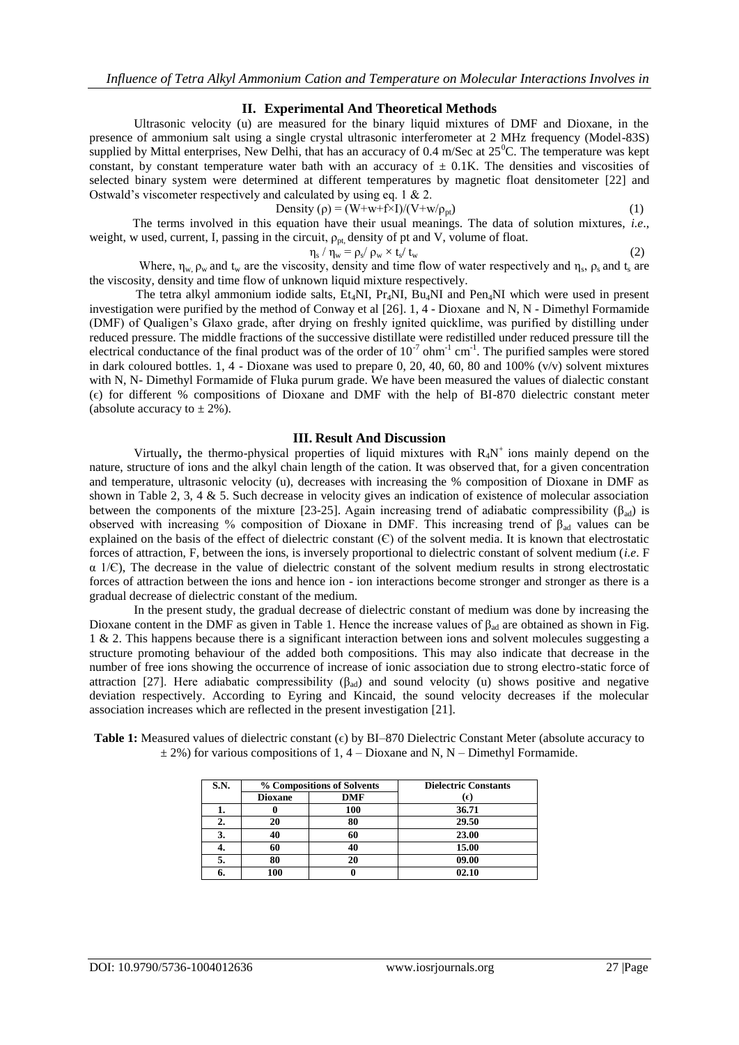### **II. Experimental And Theoretical Methods**

Ultrasonic velocity (u) are measured for the binary liquid mixtures of DMF and Dioxane, in the presence of ammonium salt using a single crystal ultrasonic interferometer at 2 MHz frequency (Model-83S) supplied by Mittal enterprises, New Delhi, that has an accuracy of 0.4 m/Sec at 25<sup>0</sup>C. The temperature was kept constant, by constant temperature water bath with an accuracy of  $\pm$  0.1K. The densities and viscosities of selected binary system were determined at different temperatures by magnetic float densitometer [22] and Ostwald's viscometer respectively and calculated by using eq. 1 & 2.

Density 
$$
(\rho) = (W+w+f\times I)/(V+w/\rho_{pt})
$$
 (1)

 The terms involved in this equation have their usual meanings. The data of solution mixtures, *i.e*., weight, w used, current, I, passing in the circuit,  $\rho_{pt}$ , density of pt and V, volume of float.

$$
/\,\eta_w^{}=\rho_s^{}\!/ \,\rho_w^{}\times t_s^{}\!/ \,t_w^{}
$$

 $η_s$ Where,  $\eta_w$ ,  $\rho_w$  and  $t_w$  are the viscosity, density and time flow of water respectively and  $\eta_s$ ,  $\rho_s$  and  $t_s$  are the viscosity, density and time flow of unknown liquid mixture respectively.

The tetra alkyl ammonium iodide salts,  $Et_4NI$ ,  $Pt_4NI$ ,  $Bu_4NI$  and  $Pen_4NI$  which were used in present investigation were purified by the method of Conway et al [26]. 1, 4 - Dioxane and N, N - Dimethyl Formamide (DMF) of Qualigen's Glaxo grade, after drying on freshly ignited quicklime, was purified by distilling under reduced pressure. The middle fractions of the successive distillate were redistilled under reduced pressure till the electrical conductance of the final product was of the order of  $10^{-7}$  ohm<sup>-1</sup> cm<sup>-1</sup>. The purified samples were stored in dark coloured bottles. 1, 4 - Dioxane was used to prepare 0, 20, 40, 60, 80 and 100% (v/v) solvent mixtures with N, N- Dimethyl Formamide of Fluka purum grade. We have been measured the values of dialectic constant (ϵ) for different % compositions of Dioxane and DMF with the help of BI-870 dielectric constant meter (absolute accuracy to  $\pm$  2%).

#### **III. Result And Discussion**

Virtually, the thermo-physical properties of liquid mixtures with R<sub>4</sub>N<sup>+</sup> ions mainly depend on the nature, structure of ions and the alkyl chain length of the cation. It was observed that, for a given concentration and temperature, ultrasonic velocity (u), decreases with increasing the % composition of Dioxane in DMF as shown in Table 2, 3, 4 & 5. Such decrease in velocity gives an indication of existence of molecular association between the components of the mixture [23-25]. Again increasing trend of adiabatic compressibility ( $\beta_{ad}$ ) is observed with increasing % composition of Dioxane in DMF. This increasing trend of βad values can be explained on the basis of the effect of dielectric constant  $(\mathcal{C})$  of the solvent media. It is known that electrostatic forces of attraction, F, between the ions, is inversely proportional to dielectric constant of solvent medium (*i.e*. F  $\alpha$  1/ $\epsilon$ ), The decrease in the value of dielectric constant of the solvent medium results in strong electrostatic forces of attraction between the ions and hence ion - ion interactions become stronger and stronger as there is a gradual decrease of dielectric constant of the medium.

In the present study, the gradual decrease of dielectric constant of medium was done by increasing the Dioxane content in the DMF as given in Table 1. Hence the increase values of  $\beta_{ad}$  are obtained as shown in Fig. 1 & 2. This happens because there is a significant interaction between ions and solvent molecules suggesting a structure promoting behaviour of the added both compositions. This may also indicate that decrease in the number of free ions showing the occurrence of increase of ionic association due to strong electro-static force of attraction [27]. Here adiabatic compressibility  $(\beta_{ad})$  and sound velocity (u) shows positive and negative deviation respectively. According to Eyring and Kincaid, the sound velocity decreases if the molecular association increases which are reflected in the present investigation [21].

**Table 1:** Measured values of dielectric constant ( $\epsilon$ ) by BI–870 Dielectric Constant Meter (absolute accuracy to  $\pm$  2%) for various compositions of 1, 4 – Dioxane and N, N – Dimethyl Formamide.

| S.N. |                | % Compositions of Solvents | <b>Dielectric Constants</b> |
|------|----------------|----------------------------|-----------------------------|
|      | <b>Dioxane</b> | <b>DMF</b>                 | (€)                         |
| .,   |                | 100                        | 36.71                       |
| 2.   | 20             | 80                         | 29.50                       |
| 3.   | 40             | 60                         | 23.00                       |
| 4.   | 60             | 40                         | 15.00                       |
| 5.   | 80             | 20                         | 09.00                       |
| n.   | 100            |                            | 02.10                       |

(2)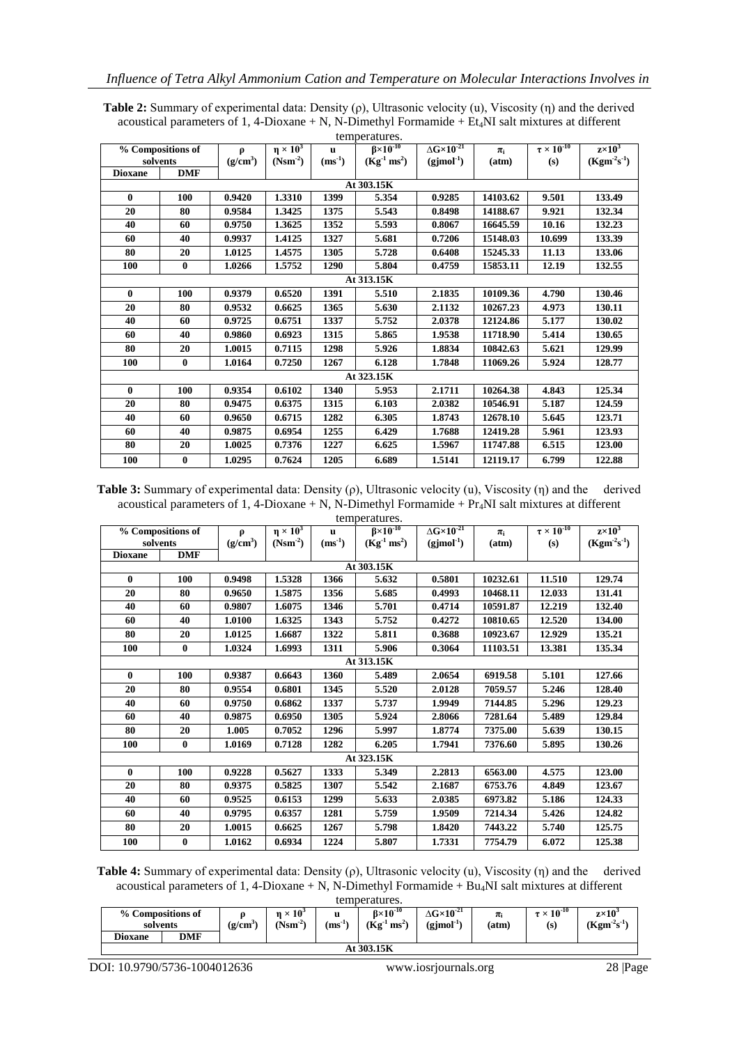| <b>Table 2:</b> Summary of experimental data: Density $(\rho)$ , Ultrasonic velocity $(u)$ , Viscosity $(\eta)$ and the derived |
|---------------------------------------------------------------------------------------------------------------------------------|
| acoustical parameters of 1, 4-Dioxane + N, N-Dimethyl Formamide + $Et4NI$ salt mixtures at different                            |
| <b>A a concern and Access</b> a                                                                                                 |

| temperatures.  |                   |                      |                    |              |                     |                                       |          |                        |                            |  |
|----------------|-------------------|----------------------|--------------------|--------------|---------------------|---------------------------------------|----------|------------------------|----------------------------|--|
|                | % Compositions of | Ø                    | $\eta \times 10^3$ | $\mathbf{u}$ | $B \times 10^{-10}$ | $\Delta$ G $\times$ 10 <sup>-21</sup> | $\pi_i$  | $\tau \times 10^{-10}$ | $\overline{z} \times 10^3$ |  |
| solvents       |                   | (g/cm <sup>3</sup> ) | $(Nsm^2)$          | $(ms^{-1})$  | $(Kg^{-1} ms^2)$    | $(gjmol-1)$                           | (atm)    | (s)                    | $(Kgm-2s-1)$               |  |
| <b>Dioxane</b> | <b>DMF</b>        |                      |                    |              |                     |                                       |          |                        |                            |  |
|                |                   |                      |                    |              | At 303.15K          |                                       |          |                        |                            |  |
| 0              | 100               | 0.9420               | 1.3310             | 1399         | 5.354               | 0.9285                                | 14103.62 | 9.501                  | 133.49                     |  |
| 20             | 80                | 0.9584               | 1.3425             | 1375         | 5.543               | 0.8498                                | 14188.67 | 9.921                  | 132.34                     |  |
| 40             | 60                | 0.9750               | 1.3625             | 1352         | 5.593               | 0.8067                                | 16645.59 | 10.16                  | 132.23                     |  |
| 60             | 40                | 0.9937               | 1.4125             | 1327         | 5.681               | 0.7206                                | 15148.03 | 10.699                 | 133.39                     |  |
| 80             | 20                | 1.0125               | 1.4575             | 1305         | 5.728               | 0.6408                                | 15245.33 | 11.13                  | 133.06                     |  |
| 100            | $\bf{0}$          | 1.0266               | 1.5752             | 1290         | 5.804               | 0.4759                                | 15853.11 | 12.19                  | 132.55                     |  |
|                |                   |                      |                    |              | At 313.15K          |                                       |          |                        |                            |  |
| $\bf{0}$       | 100               | 0.9379               | 0.6520             | 1391         | 5.510               | 2.1835                                | 10109.36 | 4.790                  | 130.46                     |  |
| 20             | 80                | 0.9532               | 0.6625             | 1365         | 5.630               | 2.1132                                | 10267.23 | 4.973                  | 130.11                     |  |
| 40             | 60                | 0.9725               | 0.6751             | 1337         | 5.752               | 2.0378                                | 12124.86 | 5.177                  | 130.02                     |  |
| 60             | 40                | 0.9860               | 0.6923             | 1315         | 5.865               | 1.9538                                | 11718.90 | 5.414                  | 130.65                     |  |
| 80             | 20                | 1.0015               | 0.7115             | 1298         | 5.926               | 1.8834                                | 10842.63 | 5.621                  | 129.99                     |  |
| 100            | $\bf{0}$          | 1.0164               | 0.7250             | 1267         | 6.128               | 1.7848                                | 11069.26 | 5.924                  | 128.77                     |  |
|                |                   |                      |                    |              | At 323.15K          |                                       |          |                        |                            |  |
| $\bf{0}$       | 100               | 0.9354               | 0.6102             | 1340         | 5.953               | 2.1711                                | 10264.38 | 4.843                  | 125.34                     |  |
| 20             | 80                | 0.9475               | 0.6375             | 1315         | 6.103               | 2.0382                                | 10546.91 | 5.187                  | 124.59                     |  |
| 40             | 60                | 0.9650               | 0.6715             | 1282         | 6.305               | 1.8743                                | 12678.10 | 5.645                  | 123.71                     |  |
| 60             | 40                | 0.9875               | 0.6954             | 1255         | 6.429               | 1.7688                                | 12419.28 | 5.961                  | 123.93                     |  |
| 80             | 20                | 1.0025               | 0.7376             | 1227         | 6.625               | 1.5967                                | 11747.88 | 6.515                  | 123.00                     |  |
| 100            | $\bf{0}$          | 1.0295               | 0.7624             | 1205         | 6.689               | 1.5141                                | 12119.17 | 6.799                  | 122.88                     |  |

**Table 3:** Summary of experimental data: Density (ρ), Ultrasonic velocity (u), Viscosity (η) and the derived acoustical parameters of 1, 4-Dioxane + N, N-Dimethyl Formamide +  $Pr_4$ NI salt mixtures at different

| temperatures.  |                   |                      |                    |             |                         |                                       |          |                        |                 |  |
|----------------|-------------------|----------------------|--------------------|-------------|-------------------------|---------------------------------------|----------|------------------------|-----------------|--|
|                | % Compositions of | $\boldsymbol{\rho}$  | $\eta \times 10^3$ | u           | $\beta \times 10^{-10}$ | $\Delta$ G $\times$ 10 <sup>-21</sup> | $\pi_i$  | $\tau \times 10^{-10}$ | $z \times 10^3$ |  |
|                | solvents          | (g/cm <sup>3</sup> ) | $(Nsm-2)$          | $(ms^{-1})$ | $(Kg^{-1} ms^2)$        | $(gjmol-1)$                           | (atm)    | (s)                    | $(Kgm-2s-1)$    |  |
| <b>Dioxane</b> | <b>DMF</b>        |                      |                    |             |                         |                                       |          |                        |                 |  |
| At 303.15K     |                   |                      |                    |             |                         |                                       |          |                        |                 |  |
| $\bf{0}$       | 100               | 0.9498               | 1.5328             | 1366        | 5.632                   | 0.5801                                | 10232.61 | 11.510                 | 129.74          |  |
| 20             | 80                | 0.9650               | 1.5875             | 1356        | 5.685                   | 0.4993                                | 10468.11 | 12.033                 | 131.41          |  |
| 40             | 60                | 0.9807               | 1.6075             | 1346        | 5.701                   | 0.4714                                | 10591.87 | 12.219                 | 132.40          |  |
| 60             | 40                | 1.0100               | 1.6325             | 1343        | 5.752                   | 0.4272                                | 10810.65 | 12.520                 | 134.00          |  |
| 80             | 20                | 1.0125               | 1.6687             | 1322        | 5.811                   | 0.3688                                | 10923.67 | 12.929                 | 135.21          |  |
| 100            | $\bf{0}$          | 1.0324               | 1.6993             | 1311        | 5.906                   | 0.3064                                | 11103.51 | 13.381                 | 135.34          |  |
|                |                   |                      |                    |             | At 313.15K              |                                       |          |                        |                 |  |
| 0              | 100               | 0.9387               | 0.6643             | 1360        | 5.489                   | 2.0654                                | 6919.58  | 5.101                  | 127.66          |  |
| 20             | 80                | 0.9554               | 0.6801             | 1345        | 5.520                   | 2.0128                                | 7059.57  | 5.246                  | 128.40          |  |
| 40             | 60                | 0.9750               | 0.6862             | 1337        | 5.737                   | 1.9949                                | 7144.85  | 5.296                  | 129.23          |  |
| 60             | 40                | 0.9875               | 0.6950             | 1305        | 5.924                   | 2.8066                                | 7281.64  | 5.489                  | 129.84          |  |
| 80             | 20                | 1.005                | 0.7052             | 1296        | 5.997                   | 1.8774                                | 7375.00  | 5.639                  | 130.15          |  |
| 100            | $\bf{0}$          | 1.0169               | 0.7128             | 1282        | 6.205                   | 1.7941                                | 7376.60  | 5.895                  | 130.26          |  |
|                |                   |                      |                    |             | At 323.15K              |                                       |          |                        |                 |  |
| $\bf{0}$       | 100               | 0.9228               | 0.5627             | 1333        | 5.349                   | 2.2813                                | 6563.00  | 4.575                  | 123.00          |  |
| 20             | 80                | 0.9375               | 0.5825             | 1307        | 5.542                   | 2.1687                                | 6753.76  | 4.849                  | 123.67          |  |
| 40             | 60                | 0.9525               | 0.6153             | 1299        | 5.633                   | 2.0385                                | 6973.82  | 5.186                  | 124.33          |  |
| 60             | 40                | 0.9795               | 0.6357             | 1281        | 5.759                   | 1.9509                                | 7214.34  | 5.426                  | 124.82          |  |
| 80             | 20                | 1.0015               | 0.6625             | 1267        | 5.798                   | 1.8420                                | 7443.22  | 5.740                  | 125.75          |  |
| 100            | $\bf{0}$          | 1.0162               | 0.6934             | 1224        | 5.807                   | 1.7331                                | 7754.79  | 6.072                  | 125.38          |  |

**Table 4:** Summary of experimental data: Density (ρ), Ultrasonic velocity (u), Viscosity (η) and the derived acoustical parameters of 1, 4-Dioxane + N, N-Dimethyl Formamide +  $Bu<sub>4</sub>NI$  salt mixtures at different

| temperatures.                 |     |                      |                              |                  |                                         |                                              |                  |                               |                                 |  |
|-------------------------------|-----|----------------------|------------------------------|------------------|-----------------------------------------|----------------------------------------------|------------------|-------------------------------|---------------------------------|--|
| % Compositions of<br>solvents |     | (g/cm <sup>3</sup> ) | $n \times 10^3$<br>$(Nsm-2)$ | u<br>$(ms^{-1})$ | $B \times 10^{-10}$<br>$(Kg^{-1} ms^2)$ | $\Delta G \times 10^{-21}$<br>$(gjmol^{-1})$ | $\pi_i$<br>(atm) | $\tau \times 10^{-10}$<br>(s) | $z \times 10^3$<br>$(Kgm-2s-1)$ |  |
| Dioxane                       | DMF |                      |                              |                  |                                         |                                              |                  |                               |                                 |  |
| At 303.15K                    |     |                      |                              |                  |                                         |                                              |                  |                               |                                 |  |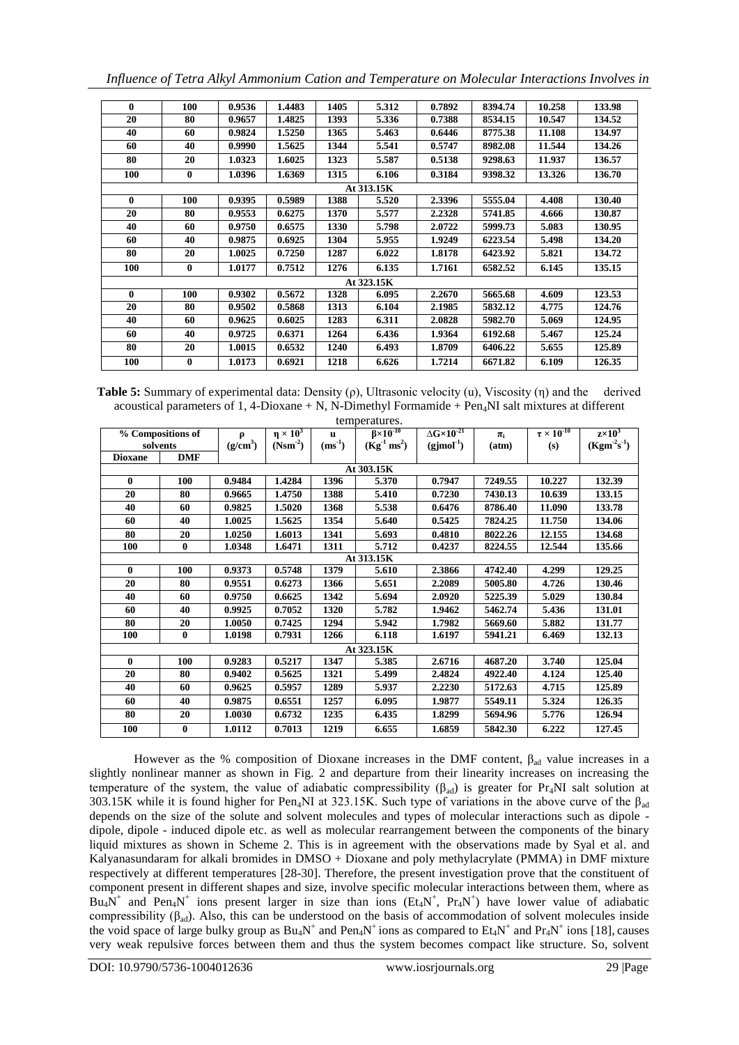*Influence of Tetra Alkyl Ammonium Cation and Temperature on Molecular Interactions Involves in* 

| $\bf{0}$     | 100      | 0.9536 | 1.4483 | 1405 | 5.312      | 0.7892 | 8394.74 | 10.258 | 133.98 |
|--------------|----------|--------|--------|------|------------|--------|---------|--------|--------|
| 20           | 80       | 0.9657 | 1.4825 | 1393 | 5.336      | 0.7388 | 8534.15 | 10.547 | 134.52 |
| 40           | 60       | 0.9824 | 1.5250 | 1365 | 5.463      | 0.6446 | 8775.38 | 11.108 | 134.97 |
| 60           | 40       | 0.9990 | 1.5625 | 1344 | 5.541      | 0.5747 | 8982.08 | 11.544 | 134.26 |
| 80           | 20       | 1.0323 | 1.6025 | 1323 | 5.587      | 0.5138 | 9298.63 | 11.937 | 136.57 |
| 100          | 0        | 1.0396 | 1.6369 | 1315 | 6.106      | 0.3184 | 9398.32 | 13.326 | 136.70 |
|              |          |        |        |      | At 313.15K |        |         |        |        |
| $\mathbf{0}$ | 100      | 0.9395 | 0.5989 | 1388 | 5.520      | 2.3396 | 5555.04 | 4.408  | 130.40 |
| 20           | 80       | 0.9553 | 0.6275 | 1370 | 5.577      | 2.2328 | 5741.85 | 4.666  | 130.87 |
| 40           | 60       | 0.9750 | 0.6575 | 1330 | 5.798      | 2.0722 | 5999.73 | 5.083  | 130.95 |
| 60           | 40       | 0.9875 | 0.6925 | 1304 | 5.955      | 1.9249 | 6223.54 | 5.498  | 134.20 |
| 80           | 20       | 1.0025 | 0.7250 | 1287 | 6.022      | 1.8178 | 6423.92 | 5.821  | 134.72 |
| 100          | $\bf{0}$ | 1.0177 | 0.7512 | 1276 | 6.135      | 1.7161 | 6582.52 | 6.145  | 135.15 |
|              |          |        |        |      | At 323.15K |        |         |        |        |
| $\mathbf{0}$ | 100      | 0.9302 | 0.5672 | 1328 | 6.095      | 2.2670 | 5665.68 | 4.609  | 123.53 |
| 20           | 80       | 0.9502 | 0.5868 | 1313 | 6.104      | 2.1985 | 5832.12 | 4.775  | 124.76 |
| 40           | 60       | 0.9625 | 0.6025 | 1283 | 6.311      | 2.0828 | 5982.70 | 5.069  | 124.95 |
| 60           | 40       | 0.9725 | 0.6371 | 1264 | 6.436      | 1.9364 | 6192.68 | 5.467  | 125.24 |
| 80           | 20       | 1.0015 | 0.6532 | 1240 | 6.493      | 1.8709 | 6406.22 | 5.655  | 125.89 |
| 100          | 0        | 1.0173 | 0.6921 | 1218 | 6.626      | 1.7214 | 6671.82 | 6.109  | 126.35 |

**Table 5:** Summary of experimental data: Density (ρ), Ultrasonic velocity (u), Viscosity (η) and the derived acoustical parameters of 1, 4-Dioxane + N, N-Dimethyl Formamide +  $Pen<sub>4</sub>NI$  salt mixtures at different temperatures.

| whip vitrue os.   |              |                           |                    |              |                         |                            |         |                        |               |  |
|-------------------|--------------|---------------------------|--------------------|--------------|-------------------------|----------------------------|---------|------------------------|---------------|--|
| % Compositions of |              | ρ<br>(g/cm <sup>3</sup> ) | $\eta \times 10^3$ | $\mathbf{u}$ | $\beta \times 10^{-10}$ | $\Delta G \times 10^{-21}$ | $\pi_i$ | $\tau \times 10^{-10}$ | $z\times10^3$ |  |
|                   | solvents     |                           | $(Nsm^2)$          | $(ms^{-1})$  | $(Kg^{-1} ms^2)$        | $(gjmol-1)$                | (atm)   | (s)                    | $(Kgm-2s-1)$  |  |
| <b>Dioxane</b>    | <b>DMF</b>   |                           |                    |              |                         |                            |         |                        |               |  |
|                   | At 303.15K   |                           |                    |              |                         |                            |         |                        |               |  |
| 0                 | 100          | 0.9484                    | 1.4284             | 1396         | 5.370                   | 0.7947                     | 7249.55 | 10.227                 | 132.39        |  |
| 20                | 80           | 0.9665                    | 1.4750             | 1388         | 5.410                   | 0.7230                     | 7430.13 | 10.639                 | 133.15        |  |
| 40                | 60           | 0.9825                    | 1.5020             | 1368         | 5.538                   | 0.6476                     | 8786.40 | 11.090                 | 133.78        |  |
| 60                | 40           | 1.0025                    | 1.5625             | 1354         | 5.640                   | 0.5425                     | 7824.25 | 11.750                 | 134.06        |  |
| 80                | 20           | 1.0250                    | 1.6013             | 1341         | 5.693                   | 0.4810                     | 8022.26 | 12.155                 | 134.68        |  |
| 100               | $\bf{0}$     | 1.0348                    | 1.6471             | 1311         | 5.712                   | 0.4237                     | 8224.55 | 12.544                 | 135.66        |  |
|                   |              |                           |                    |              | At 313.15K              |                            |         |                        |               |  |
| 0                 | 100          | 0.9373                    | 0.5748             | 1379         | 5.610                   | 2.3866                     | 4742.40 | 4.299                  | 129.25        |  |
| 20                | 80           | 0.9551                    | 0.6273             | 1366         | 5.651                   | 2.2089                     | 5005.80 | 4.726                  | 130.46        |  |
| 40                | 60           | 0.9750                    | 0.6625             | 1342         | 5.694                   | 2.0920                     | 5225.39 | 5.029                  | 130.84        |  |
| 60                | 40           | 0.9925                    | 0.7052             | 1320         | 5.782                   | 1.9462                     | 5462.74 | 5.436                  | 131.01        |  |
| 80                | 20           | 1.0050                    | 0.7425             | 1294         | 5.942                   | 1.7982                     | 5669.60 | 5.882                  | 131.77        |  |
| 100               | $\mathbf{0}$ | 1.0198                    | 0.7931             | 1266         | 6.118                   | 1.6197                     | 5941.21 | 6.469                  | 132.13        |  |
|                   |              |                           |                    |              | At 323.15K              |                            |         |                        |               |  |
| 0                 | 100          | 0.9283                    | 0.5217             | 1347         | 5.385                   | 2.6716                     | 4687.20 | 3.740                  | 125.04        |  |
| 20                | 80           | 0.9402                    | 0.5625             | 1321         | 5.499                   | 2.4824                     | 4922.40 | 4.124                  | 125.40        |  |
| 40                | 60           | 0.9625                    | 0.5957             | 1289         | 5.937                   | 2.2230                     | 5172.63 | 4.715                  | 125.89        |  |
| 60                | 40           | 0.9875                    | 0.6551             | 1257         | 6.095                   | 1.9877                     | 5549.11 | 5.324                  | 126.35        |  |
| 80                | 20           | 1.0030                    | 0.6732             | 1235         | 6.435                   | 1.8299                     | 5694.96 | 5.776                  | 126.94        |  |
| 100               | $\bf{0}$     | 1.0112                    | 0.7013             | 1219         | 6.655                   | 1.6859                     | 5842.30 | 6.222                  | 127.45        |  |

However as the % composition of Dioxane increases in the DMF content,  $β_{ad}$  value increases in a slightly nonlinear manner as shown in Fig. 2 and departure from their linearity increases on increasing the temperature of the system, the value of adiabatic compressibility ( $\beta_{ad}$ ) is greater for Pr<sub>4</sub>NI salt solution at 303.15K while it is found higher for Pen<sub>4</sub>NI at 323.15K. Such type of variations in the above curve of the  $\beta_{ad}$ depends on the size of the solute and solvent molecules and types of molecular interactions such as dipole dipole, dipole - induced dipole etc. as well as molecular rearrangement between the components of the binary liquid mixtures as shown in Scheme 2. This is in agreement with the observations made by Syal et al. and Kalyanasundaram for alkali bromides in DMSO + Dioxane and poly methylacrylate (PMMA) in DMF mixture respectively at different temperatures [28-30]. Therefore, the present investigation prove that the constituent of component present in different shapes and size, involve specific molecular interactions between them, where as  $Bu_4N^+$  and  $Pen_4N^+$  ions present larger in size than ions ( $Et_4N^+$ ,  $Pr_4N^+$ ) have lower value of adiabatic compressibility  $(\beta_{ad})$ . Also, this can be understood on the basis of accommodation of solvent molecules inside the void space of large bulky group as  $Bu_4N^+$  and  $Pen_4N^+$  ions as compared to  $Et_4N^+$  and  $Pr_4N^+$  ions [18], causes very weak repulsive forces between them and thus the system becomes compact like structure. So, solvent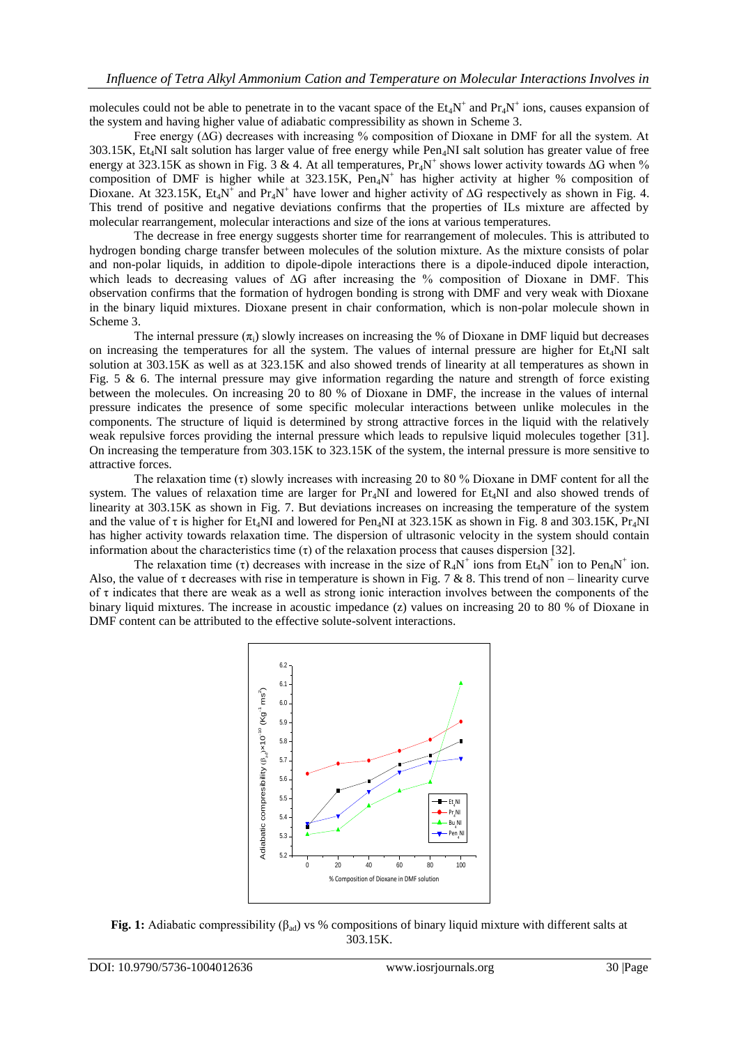molecules could not be able to penetrate in to the vacant space of the  $Et_4N^+$  and  $Pr_4N^+$  ions, causes expansion of the system and having higher value of adiabatic compressibility as shown in Scheme 3.

Free energy (∆G) decreases with increasing % composition of Dioxane in DMF for all the system. At 303.15K, Et4NI salt solution has larger value of free energy while Pen4NI salt solution has greater value of free energy at 323.15K as shown in Fig. 3 & 4. At all temperatures,  $Pr_4N^+$  shows lower activity towards ∆G when % composition of DMF is higher while at 323.15K, Pen<sub>4</sub>N<sup>+</sup> has higher activity at higher % composition of Dioxane. At 323.15K,  $Et_4N^+$  and  $Pr_4N^+$  have lower and higher activity of ∆G respectively as shown in Fig. 4. This trend of positive and negative deviations confirms that the properties of ILs mixture are affected by molecular rearrangement, molecular interactions and size of the ions at various temperatures.

The decrease in free energy suggests shorter time for rearrangement of molecules. This is attributed to hydrogen bonding charge transfer between molecules of the solution mixture. As the mixture consists of polar and non-polar liquids, in addition to dipole-dipole interactions there is a dipole-induced dipole interaction, which leads to decreasing values of ∆G after increasing the % composition of Dioxane in DMF. This observation confirms that the formation of hydrogen bonding is strong with DMF and very weak with Dioxane in the binary liquid mixtures. Dioxane present in chair conformation, which is non-polar molecule shown in Scheme 3.

The internal pressure  $(\pi_i)$  slowly increases on increasing the % of Dioxane in DMF liquid but decreases on increasing the temperatures for all the system. The values of internal pressure are higher for  $Et<sub>4</sub>NI$  salt solution at 303.15K as well as at 323.15K and also showed trends of linearity at all temperatures as shown in Fig. 5  $\&$  6. The internal pressure may give information regarding the nature and strength of force existing between the molecules. On increasing 20 to 80 % of Dioxane in DMF, the increase in the values of internal pressure indicates the presence of some specific molecular interactions between unlike molecules in the components. The structure of liquid is determined by strong attractive forces in the liquid with the relatively weak repulsive forces providing the internal pressure which leads to repulsive liquid molecules together [31]. On increasing the temperature from 303.15K to 323.15K of the system, the internal pressure is more sensitive to attractive forces.

The relaxation time  $(\tau)$  slowly increases with increasing 20 to 80 % Dioxane in DMF content for all the system. The values of relaxation time are larger for  $Pr_4NI$  and lowered for  $Et_4NI$  and also showed trends of linearity at 303.15K as shown in Fig. 7. But deviations increases on increasing the temperature of the system and the value of  $\tau$  is higher for Et<sub>4</sub>NI and lowered for Pen<sub>4</sub>NI at 323.15K as shown in Fig. 8 and 303.15K, Pr<sub>4</sub>NI has higher activity towards relaxation time. The dispersion of ultrasonic velocity in the system should contain information about the characteristics time (τ) of the relaxation process that causes dispersion [32].

The relaxation time (τ) decreases with increase in the size of  $R_4N^+$  ions from  $Et_4N^+$  ion to  $Pen_4N^+$  ion. Also, the value of  $\tau$  decreases with rise in temperature is shown in Fig. 7 & 8. This trend of non – linearity curve of τ indicates that there are weak as a well as strong ionic interaction involves between the components of the binary liquid mixtures. The increase in acoustic impedance (z) values on increasing 20 to 80 % of Dioxane in DMF content can be attributed to the effective solute-solvent interactions.



**Fig. 1:** Adiabatic compressibility (βad) vs % compositions of binary liquid mixture with different salts at 303.15K.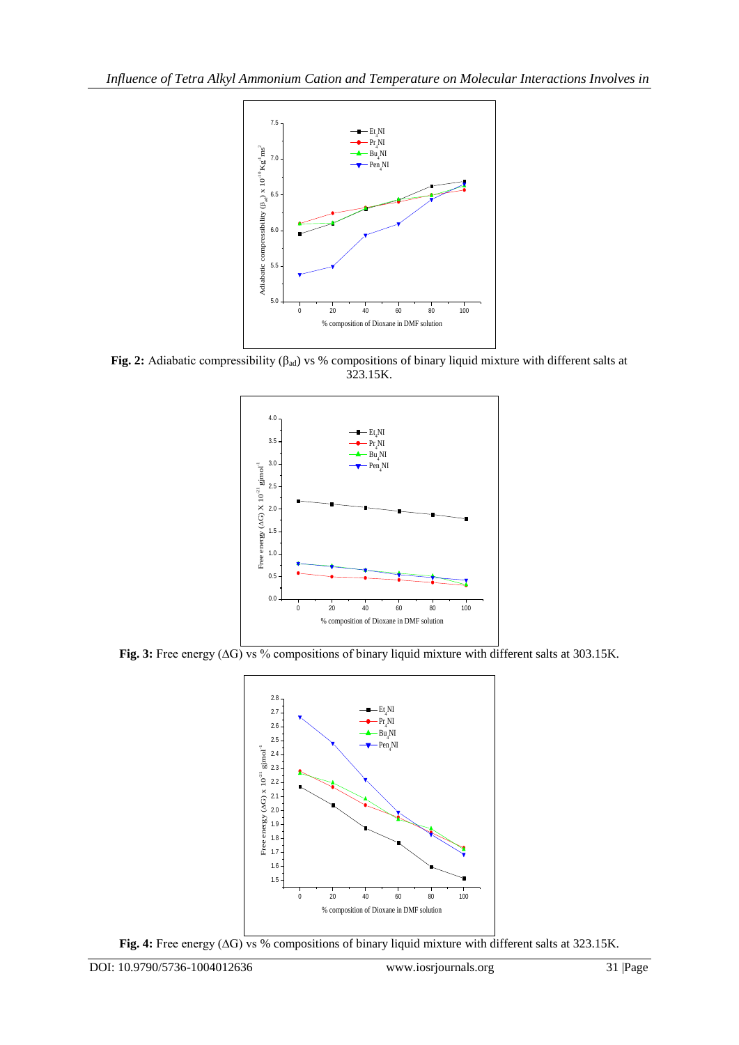

**Fig. 2:** Adiabatic compressibility (βad) vs % compositions of binary liquid mixture with different salts at 323.15K.



**Fig. 3:** Free energy (∆G) vs % compositions of binary liquid mixture with different salts at 303.15K.



**Fig. 4:** Free energy (∆G) vs % compositions of binary liquid mixture with different salts at 323.15K.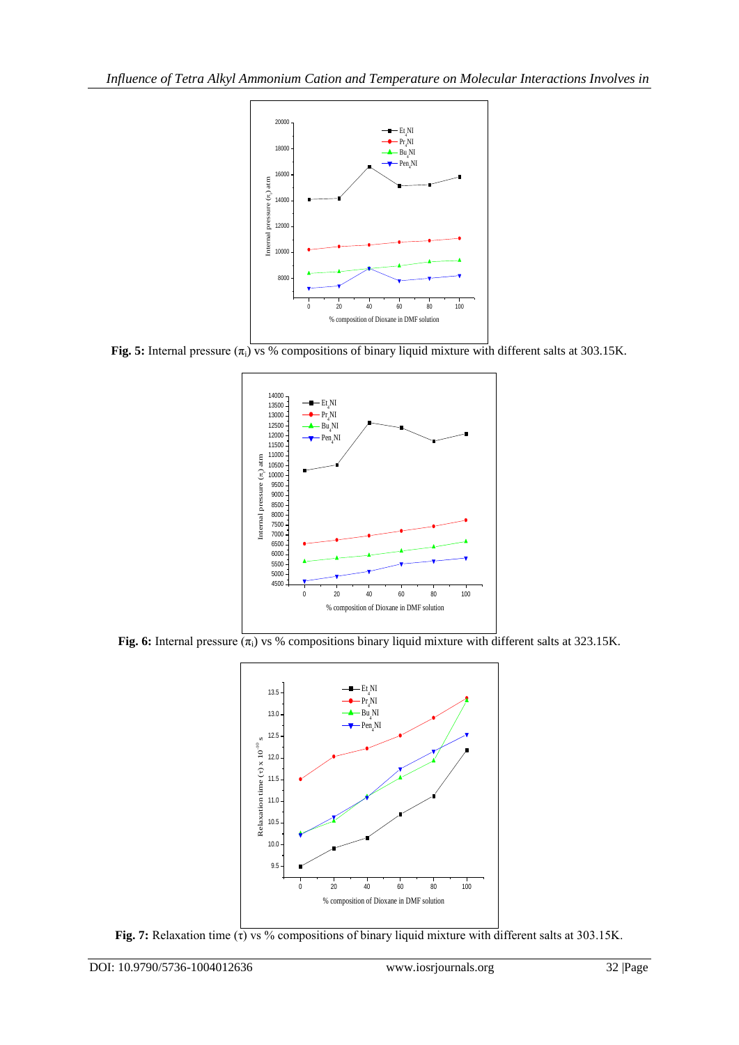

**Fig. 5:** Internal pressure  $(\pi_i)$  vs % compositions of binary liquid mixture with different salts at 303.15K.



**Fig. 6:** Internal pressure  $(\overline{\pi_i})$  vs % compositions binary liquid mixture with different salts at 323.15K.



**Fig. 7:** Relaxation time (τ) vs % compositions of binary liquid mixture with different salts at 303.15K.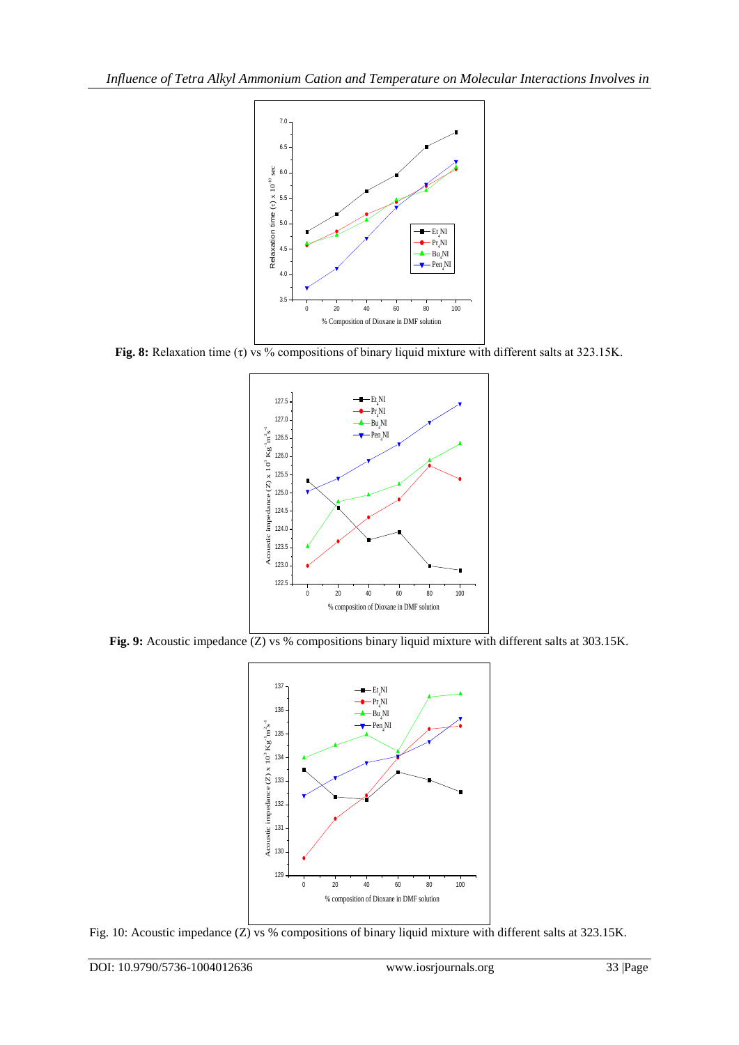

**Fig. 8:** Relaxation time (τ) vs % compositions of binary liquid mixture with different salts at 323.15K.



Fig. 9: Acoustic impedance (Z) vs % compositions binary liquid mixture with different salts at 303.15K.



Fig. 10: Acoustic impedance (Z) vs % compositions of binary liquid mixture with different salts at 323.15K.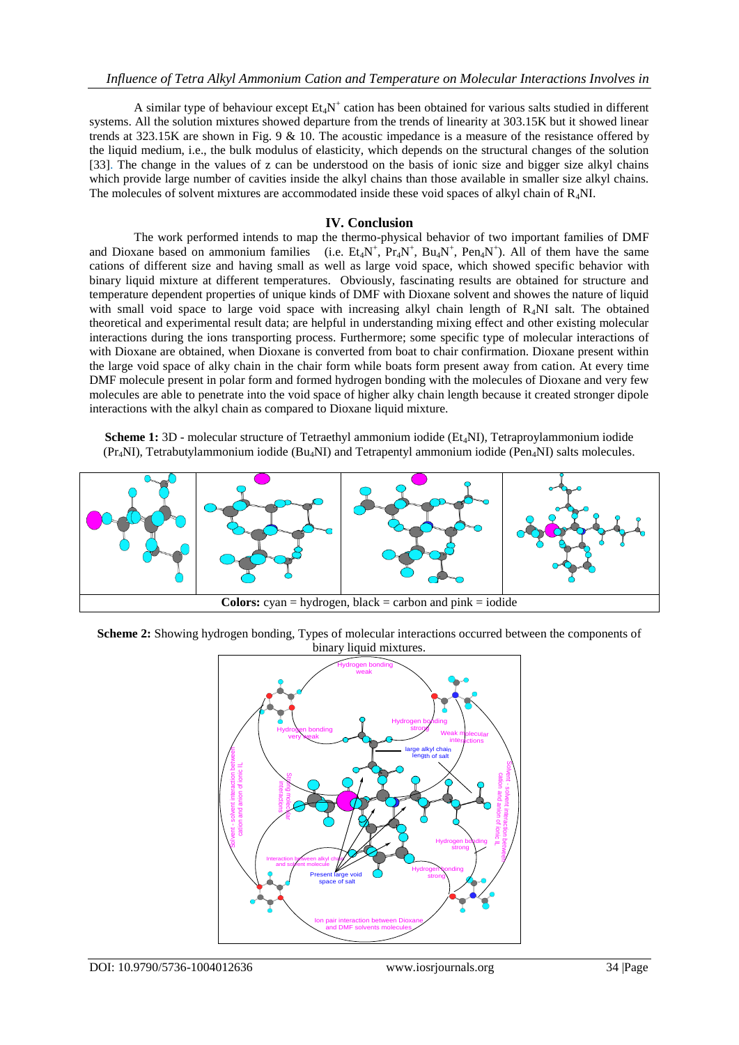A similar type of behaviour except  $Et_4N^+$  cation has been obtained for various salts studied in different systems. All the solution mixtures showed departure from the trends of linearity at 303.15K but it showed linear trends at 323.15K are shown in Fig. 9 & 10. The acoustic impedance is a measure of the resistance offered by the liquid medium, i.e., the bulk modulus of elasticity, which depends on the structural changes of the solution [33]. The change in the values of z can be understood on the basis of ionic size and bigger size alkyl chains which provide large number of cavities inside the alkyl chains than those available in smaller size alkyl chains. The molecules of solvent mixtures are accommodated inside these void spaces of alkyl chain of  $R_4$ NI.

### **IV. Conclusion**

The work performed intends to map the thermo-physical behavior of two important families of DMF and Dioxane based on ammonium families (i.e.  $Et_4N^+$ ,  $Pr_4N^+$ ,  $Bu_4N^+$ ,  $Pen_4N^+$ ). All of them have the same cations of different size and having small as well as large void space, which showed specific behavior with binary liquid mixture at different temperatures. Obviously, fascinating results are obtained for structure and temperature dependent properties of unique kinds of DMF with Dioxane solvent and showes the nature of liquid with small void space to large void space with increasing alkyl chain length of R<sub>4</sub>NI salt. The obtained theoretical and experimental result data; are helpful in understanding mixing effect and other existing molecular interactions during the ions transporting process. Furthermore; some specific type of molecular interactions of with Dioxane are obtained, when Dioxane is converted from boat to chair confirmation. Dioxane present within the large void space of alky chain in the chair form while boats form present away from cation. At every time DMF molecule present in polar form and formed hydrogen bonding with the molecules of Dioxane and very few molecules are able to penetrate into the void space of higher alky chain length because it created stronger dipole interactions with the alkyl chain as compared to Dioxane liquid mixture.

**Scheme 1:** 3D - molecular structure of Tetraethyl ammonium iodide (Et<sub>4</sub>NI), Tetraproylammonium iodide (Pr4NI), Tetrabutylammonium iodide (Bu4NI) and Tetrapentyl ammonium iodide (Pen4NI) salts molecules.



**Scheme 2:** Showing hydrogen bonding, Types of molecular interactions occurred between the components of binary liquid mixtures.

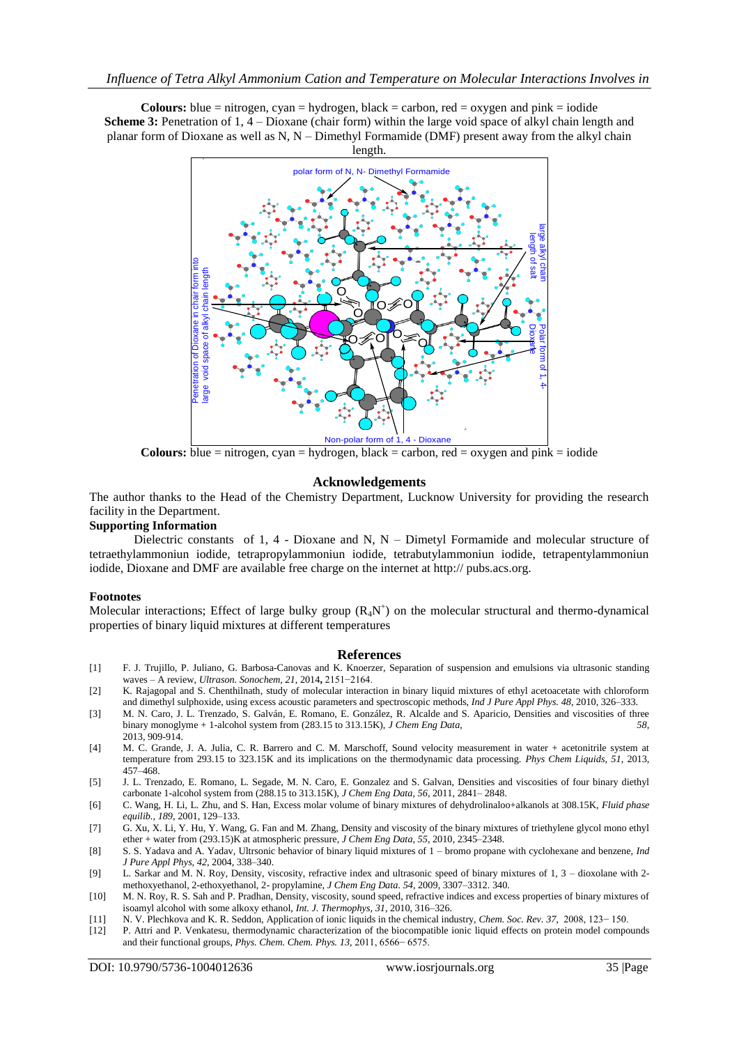**Colours:** blue = nitrogen, cyan = hydrogen, black = carbon, red = oxygen and pink = iodide **Scheme 3:** Penetration of 1, 4 – Dioxane (chair form) within the large void space of alkyl chain length and planar form of Dioxane as well as N, N – Dimethyl Formamide (DMF) present away from the alkyl chain length.



**Colours:** blue = nitrogen, cyan = hydrogen, black = carbon, red = oxygen and pink = iodide

#### **Acknowledgements**

The author thanks to the Head of the Chemistry Department, Lucknow University for providing the research facility in the Department.

#### **Supporting Information**

Dielectric constants of 1, 4 - Dioxane and N,  $N -$  Dimetyl Formamide and molecular structure of tetraethylammoniun iodide, tetrapropylammoniun iodide, tetrabutylammoniun iodide, tetrapentylammoniun iodide, Dioxane and DMF are available free charge on the internet at http:// pubs.acs.org.

#### **Footnotes**

Molecular interactions; Effect of large bulky group  $(R_4N^+)$  on the molecular structural and thermo-dynamical properties of binary liquid mixtures at different temperatures

#### **References**

- [1] F. J. Trujillo, P. Juliano, G. Barbosa-Canovas and K. Knoerzer, Separation of suspension and emulsions via ultrasonic standing waves – A review, *Ultrason. Sonochem, 21*, 2014**,** 2151−2164.
- [2] K. Rajagopal and S. Chenthilnath, study of molecular interaction in binary liquid mixtures of ethyl acetoacetate with chloroform and dimethyl sulphoxide, using excess acoustic parameters and spectroscopic methods, *Ind J Pure Appl Phys. 48*, 2010, 326–333.
- [3] M. N. Caro, J. L. Trenzado, S. Galván, E. Romano, E. González, R. Alcalde and S. Aparicio, Densities and viscosities of three binary monoglyme + 1-alcohol system from (283.15 to 313.15K), *J Chem Eng Data, 58*, 2013, 909-914.
- [4] M. C. Grande, J. A. Julia, C. R. Barrero and C. M. Marschoff, Sound velocity measurement in water + acetonitrile system at temperature from 293.15 to 323.15K and its implications on the thermodynamic data processing. *Phys Chem Liquids, 51*, 2013, 457–468.
- [5] J. L. Trenzado, E. Romano, L. Segade, M. N. Caro, E. Gonzalez and S. Galvan, Densities and viscosities of four binary diethyl carbonate 1-alcohol system from (288.15 to 313.15K), *J Chem Eng Data, 56*, 2011, 2841– 2848.
- [6] C. Wang, H. Li, L. Zhu, and S. Han, Excess molar volume of binary mixtures of dehydrolinaloo+alkanols at 308.15K, *Fluid phase equilib., 189*, 2001, 129–133.
- [7] G. Xu, X. Li, Y. Hu, Y. Wang, G. Fan and M. Zhang, Density and viscosity of the binary mixtures of triethylene glycol mono ethyl ether + water from (293.15)K at atmospheric pressure, *J Chem Eng Data, 55*, 2010, 2345–2348.
- [8] S. S. Yadava and A. Yadav, Ultrsonic behavior of binary liquid mixtures of 1 bromo propane with cyclohexane and benzene, *Ind J Pure Appl Phys, 42*, 2004, 338–340.
- [9] L. Sarkar and M. N. Roy, Density, viscosity, refractive index and ultrasonic speed of binary mixtures of 1, 3 dioxolane with 2 methoxyethanol, 2-ethoxyethanol, 2- propylamine, *J Chem Eng Data. 54*, 2009, 3307–3312. 340.
- [10] M. N. Roy, R. S. Sah and P. Pradhan, Density, viscosity, sound speed, refractive indices and excess properties of binary mixtures of isoamyl alcohol with some alkoxy ethanol, *Int. J. Thermophys, 31*, 2010, 316–326.
- [11] N. V. Plechkova and K. R. Seddon, Application of ionic liquids in the chemical industry, *Chem. Soc. Rev. 37*, 2008, 123− 150.
- [12] P. Attri and P. Venkatesu, thermodynamic characterization of the biocompatible ionic liquid effects on protein model compounds and their functional groups, *Phys. Chem. Chem. Phys. 13*, 2011, 6566− 6575.